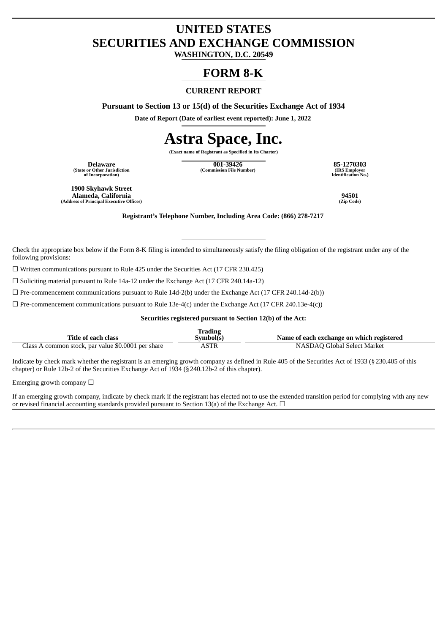## **UNITED STATES SECURITIES AND EXCHANGE COMMISSION**

**WASHINGTON, D.C. 20549**

## **FORM 8-K**

### **CURRENT REPORT**

**Pursuant to Section 13 or 15(d) of the Securities Exchange Act of 1934**

**Date of Report (Date of earliest event reported): June 1, 2022**

# **Astra Space, Inc.**

**(Exact name of Registrant as Specified in Its Charter)**

**(State or Other Jurisdiction of Incorporation)**

**Delaware 001-39426 85-1270303 (Commission File Number) (IRS Employer**

**Identification No.)**

**1900 Skyhawk Street Alameda, California 94501 (Address of Principal Executive Offices) (Zip Code)**

**Registrant's Telephone Number, Including Area Code: (866) 278-7217**

Check the appropriate box below if the Form 8-K filing is intended to simultaneously satisfy the filing obligation of the registrant under any of the following provisions:

☐ Written communications pursuant to Rule 425 under the Securities Act (17 CFR 230.425)

☐ Soliciting material pursuant to Rule 14a-12 under the Exchange Act (17 CFR 240.14a-12)

 $\square$  Pre-commencement communications pursuant to Rule 14d-2(b) under the Exchange Act (17 CFR 240.14d-2(b))

 $\Box$  Pre-commencement communications pursuant to Rule 13e-4(c) under the Exchange Act (17 CFR 240.13e-4(c))

**Securities registered pursuant to Section 12(b) of the Act:**

|                                                      | tradıng     |                                           |
|------------------------------------------------------|-------------|-------------------------------------------|
| Title of each class                                  | Svmbol(s    | Name of each exchange on which registered |
| A common stock, par value \$0.0001 per share<br>lass | <b>ASTR</b> | NASDAO Global Select Market               |

Indicate by check mark whether the registrant is an emerging growth company as defined in Rule 405 of the Securities Act of 1933 (§230.405 of this chapter) or Rule 12b-2 of the Securities Exchange Act of 1934 (§240.12b-2 of this chapter).

Emerging growth company  $\Box$ 

If an emerging growth company, indicate by check mark if the registrant has elected not to use the extended transition period for complying with any new or revised financial accounting standards provided pursuant to Section 13(a) of the Exchange Act.  $\Box$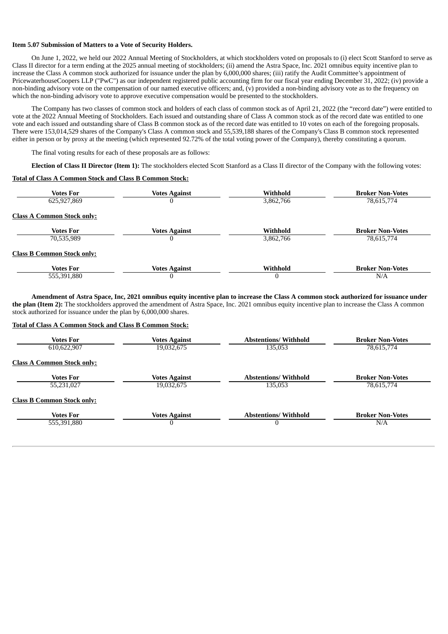#### **Item 5.07 Submission of Matters to a Vote of Security Holders.**

On June 1, 2022, we held our 2022 Annual Meeting of Stockholders, at which stockholders voted on proposals to (i) elect Scott Stanford to serve as Class II director for a term ending at the 2025 annual meeting of stockholders; (ii) amend the Astra Space, Inc. 2021 omnibus equity incentive plan to increase the Class A common stock authorized for issuance under the plan by 6,000,000 shares; (iii) ratify the Audit Committee's appointment of PricewaterhouseCoopers LLP ("PwC") as our independent registered public accounting firm for our fiscal year ending December 31, 2022; (iv) provide a non-binding advisory vote on the compensation of our named executive officers; and, (v) provided a non-binding advisory vote as to the frequency on which the non-binding advisory vote to approve executive compensation would be presented to the stockholders.

The Company has two classes of common stock and holders of each class of common stock as of April 21, 2022 (the "record date") were entitled to vote at the 2022 Annual Meeting of Stockholders. Each issued and outstanding share of Class A common stock as of the record date was entitled to one vote and each issued and outstanding share of Class B common stock as of the record date was entitled to 10 votes on each of the foregoing proposals. There were 153,014,529 shares of the Company's Class A common stock and 55,539,188 shares of the Company's Class B common stock represented either in person or by proxy at the meeting (which represented 92.72% of the total voting power of the Company), thereby constituting a quorum.

The final voting results for each of these proposals are as follows:

**Election of Class II Director (Item 1):** The stockholders elected Scott Stanford as a Class II director of the Company with the following votes:

#### **Total of Class A Common Stock and Class B Common Stock:**

| <b>Votes For</b>                  | <b>Votes Against</b> | Withhold  | <b>Broker Non-Votes</b> |
|-----------------------------------|----------------------|-----------|-------------------------|
| 625,927,869                       |                      | 3,862,766 | 78,615,774              |
| <b>Class A Common Stock only:</b> |                      |           |                         |
| <b>Votes For</b>                  | <b>Votes Against</b> | Withhold  | <b>Broker Non-Votes</b> |
| 70,535,989                        |                      | 3,862,766 | 78,615,774              |
| <b>Class B Common Stock only:</b> |                      |           |                         |
| <b>Votes For</b>                  | <b>Votes Against</b> | Withhold  | <b>Broker Non-Votes</b> |
| 555,391,880                       |                      |           | N/A                     |

Amendment of Astra Space, Inc, 2021 omnibus equity incentive plan to increase the Class A common stock authorized for issuance under **the plan (Item 2):** The stockholders approved the amendment of Astra Space, Inc. 2021 omnibus equity incentive plan to increase the Class A common stock authorized for issuance under the plan by 6,000,000 shares.

#### **Total of Class A Common Stock and Class B Common Stock:**

| Votes For                         | <b>Votes Against</b> | <b>Abstentions/Withhold</b> | <b>Broker Non-Votes</b> |
|-----------------------------------|----------------------|-----------------------------|-------------------------|
| 610,622,907                       | 19,032,675           | 135,053                     | 78,615,774              |
| <b>Class A Common Stock only:</b> |                      |                             |                         |
| <b>Votes For</b>                  | <b>Votes Against</b> | <b>Abstentions/Withhold</b> | <b>Broker Non-Votes</b> |
| 55,231,027                        | 19,032,675           | 135,053                     | 78,615,774              |
| <b>Class B Common Stock only:</b> |                      |                             |                         |
| <b>Votes For</b>                  | <b>Votes Against</b> | <b>Abstentions/Withhold</b> | <b>Broker Non-Votes</b> |
| 555,391,880                       | $\boldsymbol{0}$     | $\Omega$                    | N/A                     |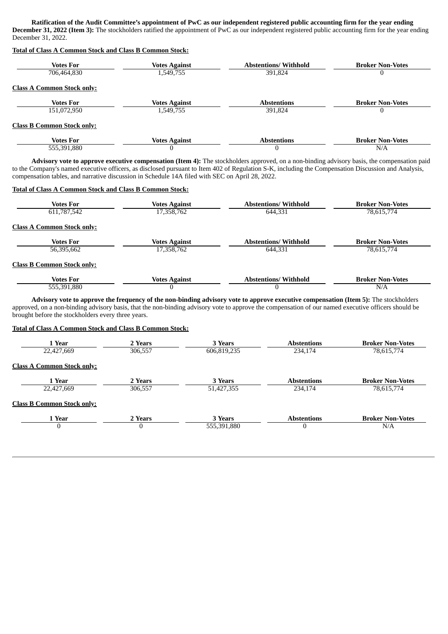Ratification of the Audit Committee's appointment of PwC as our independent registered public accounting firm for the year ending **December 31, 2022 (Item 3):** The stockholders ratified the appointment of PwC as our independent registered public accounting firm for the year ending December 31, 2022.

#### **Total of Class A Common Stock and Class B Common Stock:**

| <b>Votes For</b>                  | <b>Votes Against</b> | <b>Abstentions/Withhold</b> | <b>Broker Non-Votes</b> |
|-----------------------------------|----------------------|-----------------------------|-------------------------|
| 706,464,830                       | 1,549,755            | 391,824                     |                         |
| <b>Class A Common Stock only:</b> |                      |                             |                         |
| <b>Votes For</b>                  | Votes Against        | <b>Abstentions</b>          | <b>Broker Non-Votes</b> |
| 151,072,950                       | 1,549,755            | 391.824                     |                         |
| <b>Class B Common Stock only:</b> |                      |                             |                         |
| <b>Votes For</b>                  | <b>Votes Against</b> | <b>Abstentions</b>          | <b>Broker Non-Votes</b> |
| 555,391,880                       | $\Omega$             | $\Omega$                    | N/A                     |

**Advisory vote to approve executive compensation (Item 4):** The stockholders approved, on a non-binding advisory basis, the compensation paid to the Company's named executive officers, as disclosed pursuant to Item 402 of Regulation S-K, including the Compensation Discussion and Analysis, compensation tables, and narrative discussion in Schedule 14A filed with SEC on April 28, 2022.

#### **Total of Class A Common Stock and Class B Common Stock:**

| Votes For<br>611,787,542          | <b>Votes Against</b><br>17,358,762 | <b>Abstentions/Withhold</b><br>644.331 | <b>Broker Non-Votes</b><br>78,615,774 |
|-----------------------------------|------------------------------------|----------------------------------------|---------------------------------------|
| <b>Class A Common Stock only:</b> |                                    |                                        |                                       |
| Votes For                         | <b>Votes Against</b>               | <b>Abstentions/Withhold</b>            | <b>Broker Non-Votes</b>               |
| 56,395,662                        | 17,358,762                         | 644.331                                | 78,615,774                            |
| <b>Class B Common Stock only:</b> |                                    |                                        |                                       |
| Votes For<br>555,391,880          | <b>Votes Against</b><br>U          | <b>Abstentions/Withhold</b>            | <b>Broker Non-Votes</b><br>N/A        |

Advisory vote to approve the frequency of the non-binding advisory vote to approve executive compensation (Item 5): The stockholders approved, on a non-binding advisory basis, that the non-binding advisory vote to approve the compensation of our named executive officers should be brought before the stockholders every three years.

#### **Total of Class A Common Stock and Class B Common Stock:**

| 1 Year                            | 2 Years | 3 Years     | <b>Abstentions</b> | <b>Broker Non-Votes</b> |
|-----------------------------------|---------|-------------|--------------------|-------------------------|
| 22,427,669                        | 306,557 | 606,819,235 | 234,174            | 78,615,774              |
| <b>Class A Common Stock only:</b> |         |             |                    |                         |
| 1 Year                            | 2 Years | 3 Years     | <b>Abstentions</b> | <b>Broker Non-Votes</b> |
| 22,427,669                        | 306,557 | 51,427,355  | 234,174            | 78,615,774              |
| <b>Class B Common Stock only:</b> |         |             |                    |                         |
| 1 Year                            | 2 Years | 3 Years     | <b>Abstentions</b> | <b>Broker Non-Votes</b> |
| $\bf{0}$                          | 0       | 555,391,880 | 0                  | N/A                     |
|                                   |         |             |                    |                         |